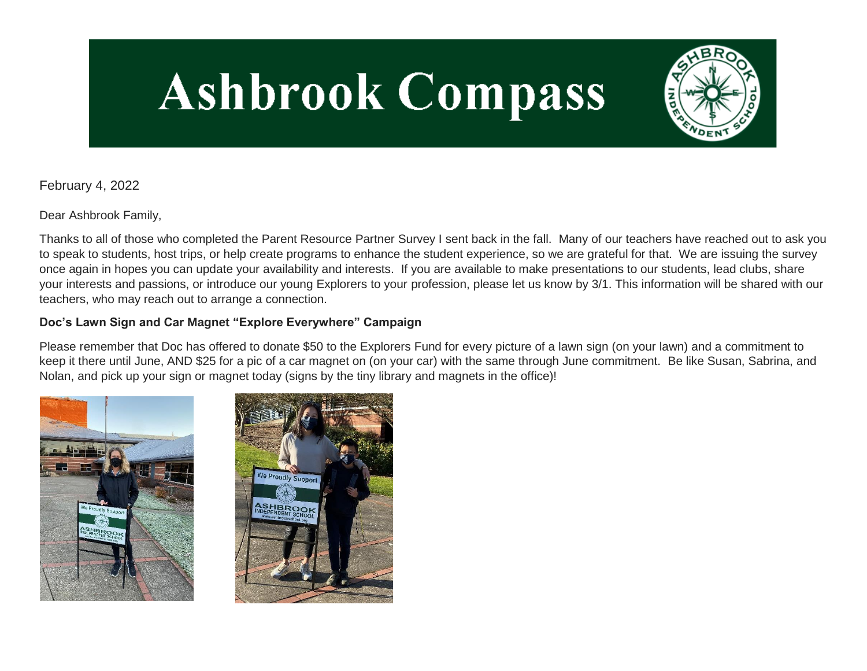# **Ashbrook Compass**



February 4, 2022

Dear Ashbrook Family,

Thanks to all of those who completed the Parent Resource Partner Survey I sent back in the fall. Many of our teachers have reached out to ask you to speak to students, host trips, or help create programs to enhance the student experience, so we are grateful for that. We are issuing the survey once again in hopes you can update your availability and interests. If you are available to make presentations to our students, lead clubs, share your interests and passions, or introduce our young Explorers to your profession, please let us know by 3/1. This information will be shared with our teachers, who may reach out to arrange a connection.

# **Doc's Lawn Sign and Car Magnet "Explore Everywhere" Campaign**

Please remember that Doc has offered to donate \$50 to the Explorers Fund for every picture of a lawn sign (on your lawn) and a commitment to keep it there until June, AND \$25 for a pic of a car magnet on (on your car) with the same through June commitment. Be like Susan, Sabrina, and Nolan, and pick up your sign or magnet today (signs by the tiny library and magnets in the office)!



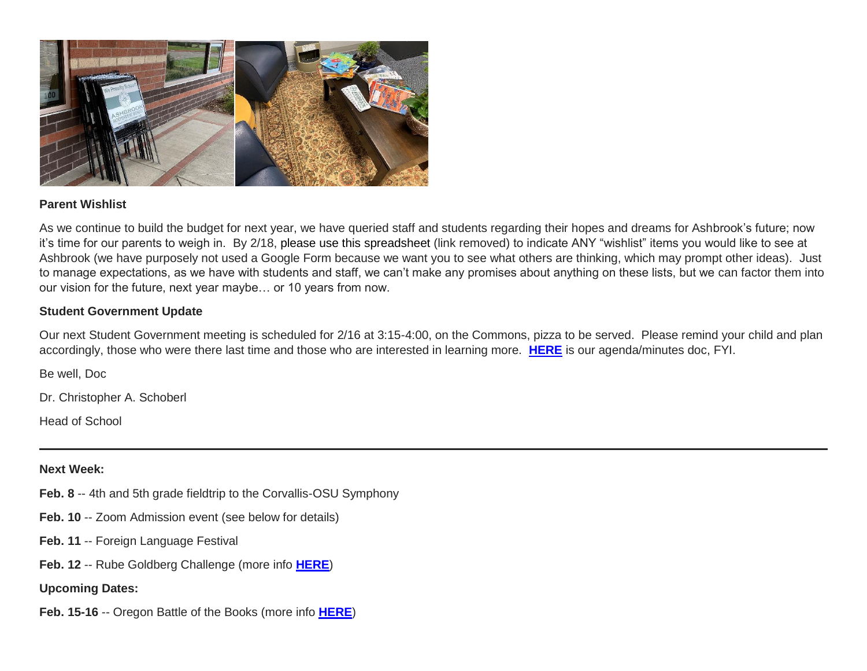

#### **Parent Wishlist**

As we continue to build the budget for next year, we have queried staff and students regarding their hopes and dreams for Ashbrook's future; now it's time for our parents to weigh in. By 2/18, please use this spreadsheet (link removed) to indicate ANY "wishlist" items you would like to see at Ashbrook (we have purposely not used a Google Form because we want you to see what others are thinking, which may prompt other ideas). Just to manage expectations, as we have with students and staff, we can't make any promises about anything on these lists, but we can factor them into our vision for the future, next year maybe… or 10 years from now.

#### **Student Government Update**

Our next Student Government meeting is scheduled for 2/16 at 3:15-4:00, on the Commons, pizza to be served. Please remind your child and plan accordingly, those who were there last time and those who are interested in learning more. **[HERE](http://link.mystudentsprogress.com/ls/click?upn=VpBe6Z9t6RkEC4qAoQCerkRqVNRJCi4SE2bZPjoSvlyTiL9iJha6icTbjwqTfJcP7BakX7nK7UyKpE19xWWMaCkogmi-2B0BmLC2EAz7blwUKTUT-2FxV5wPpwUqh5nfvAoP5LT9_1PndbFfBoQGSZbxwXHHEexw3B2F0fG-2BUmuXm6a-2BX-2BzulmAkcYKs87Yy63VhTR9aEp-2FRuvwDA5K5x46CXoL90yaw-2B0prpdIA-2FZPEVpVdKUFiCwHxtoocsUsh-2F5drub9BybW0J-2FZD-2BI9yQ0w-2FPxXOLMfQ7cowDclLp8xSfCrN-2Bg0Gx48raznmQEEiYF-2BwHGyyzix2VjmLVFHTW8umDlQYqksIdr4RdATTH-2FD-2F9TVlJrJtaGMQECcyv9BNPmDiEDIitGuTMZrzzUka21pyEkJjTOTrZuqQaEFJ3TFd5LPNIm0LlzJ0gWz-2B3-2F-2B7jJqQ-2FMZtpkaFZUOPgav-2Fp-2B3YXSqwD4CcrstP1q4P34ZQuw8rxhmS5JDov0UfKfEUKToyUyLvzmh67wYiJ5znFvUFYdvvc3J480LWsUiqo1jm-2F3TdYMg81hSFOMvXmliAOVbZ0lkNz)** is our agenda/minutes doc, FYI.

Be well, Doc

Dr. Christopher A. Schoberl

Head of School

#### **Next Week:**

- **Feb. 8** -- 4th and 5th grade fieldtrip to the Corvallis-OSU Symphony
- **Feb. 10** -- Zoom Admission event (see below for details)
- **Feb. 11** -- Foreign Language Festival
- **Feb. 12** -- Rube Goldberg Challenge (more info **[HERE](http://link.mystudentsprogress.com/ls/click?upn=VpBe6Z9t6RkEC4qAoQCerkRqVNRJCi4SE2bZPjoSvly4Fl1rEVk6iTXLXAh3m1uO6ZREGgy0jRpPy3z9B6qC7k13dGK-2BzvNKk1fYfPQ2imllJl8VwFJT0rh-2BQ5poTuj69aip_1PndbFfBoQGSZbxwXHHEexw3B2F0fG-2BUmuXm6a-2BX-2BzulmAkcYKs87Yy63VhTR9aEp-2FRuvwDA5K5x46CXoL90yQXA7j-2Bz2zZDz-2FWKj4yvuEeeJIPMntpUIQeCXaQ69kIiBGCfkdJ27J-2Bd95JS3bZmZ4gUBbGzrfrZMe0-2Fsp7AClJOYXZzhmKE85BGWiGMlsv17FmvS7-2BzYAINRo2lgc6388-2B7ODkN4IIUT3VB6RGe-2FFQlbbeSVsWkTM-2FcmL7fzbs6JPEPJk8yYnoyMRhClU8Jf5YZsPR1ew1K2db44-2BmUqNLJBrOjyXI9GEpVKC6-2BN0sV5Wiauh0-2Bb43l3pzwcpTss9ThhSdICyYwliiA-2B5B-2FvIi-2BEo5UivPelaFEQHO5ccbHS3Z-2FMuKzKN-2FToA5H3KrDKFu-2F5dbwAvK7QmacWuhUgpNIJou6wuvyzQvyuXWJysXp)**)

#### **Upcoming Dates:**

**Feb. 15-16** -- Oregon Battle of the Books (more info **[HERE](http://link.mystudentsprogress.com/ls/click?upn=t3AI3kjK1Pyk9qPfHnOahelBVVSIlRAa3GeSLMbkINmgHr3guxrPuqfp-2Bh-2FJW4nCZ4g8Gi3XkGXC-2FKATZbsSvnFgO9IVzNwuZevRFvu2poAlNOSfxWbTJ4wuterP49YQISifZ-2BAyqZZjA-2BPnvmOPvfSac9KsX3TvVZP2e4maBJki8HBVoMAL0vd0f0sVW-2BMvtov8ImRHcUiROclV1EztmVK41L-2FTIDnhkO5e7GEGTjuS3ox-2BBCkOFKvVy-2BN3D-2FT0-2B6QQegPZ3Xc-2Bwwrk7yHqNlDh2WKgal-2BOqF71plcMkjpFapImHW10uvvbGMIybKtWenSSS64Ftqeyw6Yv81gY4jICU-2BlMi-2FA2efITzpPEAkmEK3cuwzxrZGQb3iQxqK3xgJERKzrmVR05WZiXm0qp0Vxc0iFjlCzdgCF-2BVbA9nJYx7I76TFBTH6R3zK8LWviLq7KaqJ3j5WbJL66w2QB8UrLT3Kx-2FPh1izzSwaRShQlKINAHl2YblKDyjJOJV9sr4we8iqDlGuEQq9mwA1mV5-2FDQB-2Bw-2Fo1UM3WdufTaR1sA8BxEs5-2BzFfvSC5ATImaH5cRVFVtjByi1oJZtwMIBzMElCtgBvLq73sTynNtW94T-2BhAbkUSTTmBeruDdSeeMQSJTbgjGI4yIBswmW-2FwRANBWGLVypLiJHjwahAnjx-2F297SWZDi5nVVhmzLU2Unt2Hwb3O2O_1PndbFfBoQGSZbxwXHHEexw3B2F0fG-2BUmuXm6a-2BX-2BzulmAkcYKs87Yy63VhTR9aEp-2FRuvwDA5K5x46CXoL90yYZ1j3gdLL4UsSzzpyiOxOg7hQmz3DE-2FdCQ21-2FhlGAy4UTILuxUKpILVrjDuDcNf96DgelywCcop0U0ChEMnyrS6SyMLUS0R1lDrVUtDZAgTTeneKIF5h0uSQnGYT3jaXI4clUJNjP-2BmjoWuVp1-2FS9qqm4uQFYuHkb5H3biEn2AuQS4dEJ-2BU8-2FivcMagP32q-2BZqAwr-2FFtKK7daYPklITretp82CP3SfqVnMcrrKaHAkbq6mzpAWgpUb-2FkKmehGbDA-2FriSNsfn0rNmqy-2F2q28hWMj0410MFQVExisWf8FPJsiJfFCZ1xGDtvcK9I7R5fzRm-2FSnrl365a94sN8T6L-2B7fnq-2FRha1Pp1n02piy2w3z4f)**)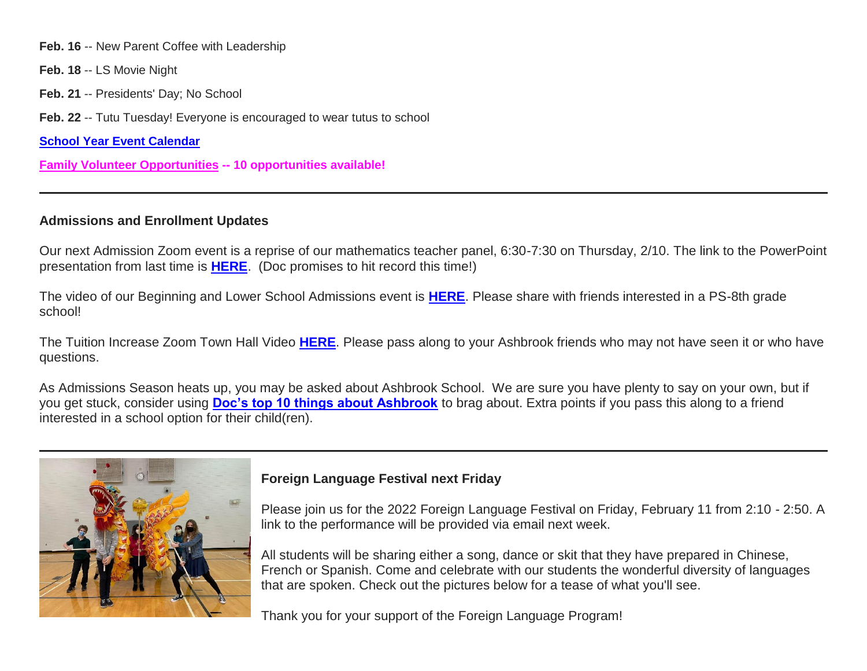**Feb. 16** -- New Parent Coffee with Leadership

- **Feb. 18** -- LS Movie Night
- **Feb. 21** -- Presidents' Day; No School

**Feb. 22** -- Tutu Tuesday! Everyone is encouraged to wear tutus to school

**[School Year Event Calendar](http://link.mystudentsprogress.com/ls/click?upn=n7jYKe39nC4PrVAw2BzaOolgU5XUleaJ61qfvNJxTW3uoi8RFzNYUfSc1qXdqajA34djZWrxIBJBxzp2whbybvqIYp3dDOkCDgKesziBdCm1u7J5UB6bwQicng-2BhFj8jm5vDG0tBEB0sO-2FO3RXilW8Csk5oOSfGUUXvh5WSdqhuxZmYzYNrapCD6i2aW2bQAEASF_1PndbFfBoQGSZbxwXHHEexw3B2F0fG-2BUmuXm6a-2BX-2BzulmAkcYKs87Yy63VhTR9aEp-2FRuvwDA5K5x46CXoL90ybFVo6IZzCZdsEnBJ6RGwZ3eYJjza8OZeXHpL9hdJTReIbFrC14o-2B8CIgE-2BpwsDm0Kh-2B14T2H-2BK9Wr8fNhoVAa5kKCZB2WteKn9R4qmqU81iWyHWy3-2F6tXfTfs0dLTfyp4Kn9Md9Erv-2FwmqzGdw61MXacAV-2B6GvzgxMcwGYMhrL1PaqS0l6rszuS1ddiUWDYN-2BoKoHLLg4tPSkOjQySUrZcW1QXUDQHM12qce3aNZDSprBt8dKpnBPWUX-2FEjqeAZMQR3AD6IjcDHhL9n7akapCSiQiePnidAunbWTBLdqX8P5ynemMv0Eh5Se86ePLb1fqDMi2T-2F1gaoGJuXDbxPz2OQi3nrFt2FyTYAasweWrID)**

**[Family Volunteer Opportunities](http://link.mystudentsprogress.com/ls/click?upn=VpBe6Z9t6RkEC4qAoQCerkRqVNRJCi4SE2bZPjoSvlxSlLFpfnUYhuutAutUGnBh84nj-2BJvhJlx1K1dJMDDqBY1qLZ1O0nCcHebienBZj-2BKxsXBin-2FugM50Q-2FqN8cLG3Urd1ZQzGcMWtkFleXRzacA-3D-3DY-pF_1PndbFfBoQGSZbxwXHHEexw3B2F0fG-2BUmuXm6a-2BX-2BzulmAkcYKs87Yy63VhTR9aEp-2FRuvwDA5K5x46CXoL90yTnawMbhjKT6j-2B5OUmYNAEduSVWBdOyFvG1KalNeXSaNyE5f0HBWOhDEGQr5g9TbyRkObG6h-2BMowOjxV9CpoLHKIU1hVwIH3uYX7YEBDZrWrIoJT22VI8MkhM22SG3ANwUrl10Z83ncHTbeQP5AD6sp-2Bdn-2BqJ738MHLk-2BbaJ-2BrrQvC-2F6fmc4b3-2BUaJ3oK41p9-2BYNWE6U6ilAVkgQRfnxIBVxlfxlcQ-2FnOuTw9x7It5z8UuF3HzxgVoLhbXqe0zGFG5yAj5trPwbktjUNg3jKRbJoNtEteg-2Bsirb0RssJQ2-2BDSydJwFxfJnKKLpGM5gwRHtre8875HIDp-2FcPwM3ySJm39Q9xd2O6LqkZwVcigvEoG) -- 10 opportunities available!**

## **Admissions and Enrollment Updates**

Our next Admission Zoom event is a reprise of our mathematics teacher panel, 6:30-7:30 on Thursday, 2/10. The link to the PowerPoint presentation from last time is **[HERE](http://link.mystudentsprogress.com/ls/click?upn=VpBe6Z9t6RkEC4qAoQCertKzhjEDinKc0CfI3IvbCQd1jeROfQpyPVWbws2y1DdrKGI0PsBW1LVX74s77zGsmsQfGpXtGUsDUj7ru98BcAiPhHiLKhwA2O9HEf1y0nhbxEM3_1PndbFfBoQGSZbxwXHHEexw3B2F0fG-2BUmuXm6a-2BX-2BzulmAkcYKs87Yy63VhTR9aEp-2FRuvwDA5K5x46CXoL90yY0zUXGjL6Ko7uq3mqvPA0iINgvqxxre5JLedUtHjSdWF1bOOlZE2TKtELORyPfvqo-2FiOhce9QfomZnj8s-2F02oF8MuoEXxgF6uo24ertwf-2FQKYaeKKWZ-2BuZ4q80yjdOD0YLcRih3rGQC-2F6xqwaT-2FneWukiuZx6-2FY6jBpDD6-2F2gp3mrU5KN6mxX9BVF54bhz-2BhoY8kDVGnGiPhQ9H5MHL7MNFNaDIAdFUaIqR6ibUXPgEiDmk9xTiCgq2hzuklFu1uNsI5qW3TPb12DbXY7dv3KwkLWpcdGG6PQdX3UZOoWaCIqtIDg82wtOtKwHYejwIcMWG8Ov-2BLt-2Fin9t7tly86WK-2BnXzLzRJZ5jc4ZeXeR5hS)**. (Doc promises to hit record this time!)

The video of our Beginning and Lower School Admissions event is **[HERE](http://link.mystudentsprogress.com/ls/click?upn=VpBe6Z9t6RkEC4qAoQCertKzhjEDinKc0CfI3IvbCQc3YkVB59vPRjWIBMlJ3N2pXmp5NzGhyg5kZsmzkrcc39OxqSVp3Wax2puaDv2NPnuKHuL1k92wO-2Brr3CQ-2BzQw6rMvy_1PndbFfBoQGSZbxwXHHEexw3B2F0fG-2BUmuXm6a-2BX-2BzulmAkcYKs87Yy63VhTR9aEp-2FRuvwDA5K5x46CXoL90yaPvSKmyWG92c-2BwrvomA6dJJ8CU6Ktp1Uy5BkE1lhFmALCVuxG-2FVN-2F9Y8PVRIJPmDp7NOiB0WeBKa4euJpgT-2FVEsZ0vLVd3i0bSgyflHCnIbixkllFU39UpEFx1VRvPN2jFry7H11UcrjgAs-2Bd4Gu398BqQVi9p5swBLOVbBAFPdY6QC8Yf2b-2FBvoASXRZMQbPlwAWiWjO-2Fa7DrE56zLBl4tfpf-2FlovHu2xWuVRTO70ZVIM22riU7TzzOplTqsyZkd7QMoLgwbcTNs88w3UcQKQyZ6ZEd9qNItdyz8GmCdjaSOpj-2BnoMBc8BQjf-2BwDnv36VV2v9XUn8YLO5dDxyQNZnw0ydzqfWpbPZGUdH2s7tH)**. Please share with friends interested in a PS-8th grade school!

The Tuition Increase Zoom Town Hall Video **[HERE](http://link.mystudentsprogress.com/ls/click?upn=VpBe6Z9t6RkEC4qAoQCertKzhjEDinKc0CfI3IvbCQd-2B2nn-2Fa-2B0Fot-2FxuZkG1V31JYm24R2q7tT-2FkQi-2BbIdWxBI7Jc9-2Be-2FbGTi4HpodDV81hktuscSYsn5KAsCuRbbrADgCC_1PndbFfBoQGSZbxwXHHEexw3B2F0fG-2BUmuXm6a-2BX-2BzulmAkcYKs87Yy63VhTR9aEp-2FRuvwDA5K5x46CXoL90yX5Y4C-2Bbzpx3Zms072zlu8goIBOGMFQ8i2h1sKzfW3mW-2BoyStJ9HN1xoLaqGS9Bms6w7mrVaODhPVc96QZl85E1X-2BwEWScXQqzhexQ5gSBoKgr7np29YXpv2bZzDmRfTILehtxveVddYiteSEGTWpYC2Jd97AN8eiElKXRvSfIibN9IBPuQtAC5Ywc0974Nhq5V7BDbvuqtr8T2tllcpypo0xu-2BobLSD77vAFGXH9NXuDGZcAoxLJBhVp6jbHGH2nR-2FkPLrS4EbRcUuTMkHPwt3BezsYBm3dHFeh5GHwBW5KU-2BhUvH1n-2F-2BvG0KpFFrdiLdXKPauyTZ-2BGT6CWO4mchmz7ia7GXSMyV42f-2FV0z2BUC)**. Please pass along to your Ashbrook friends who may not have seen it or who have questions.

As Admissions Season heats up, you may be asked about Ashbrook School. We are sure you have plenty to say on your own, but if you get stuck, consider using **[Doc's top 10 things about Ashbrook](http://link.mystudentsprogress.com/ls/click?upn=VpBe6Z9t6RkEC4qAoQCerkRqVNRJCi4SE2bZPjoSvlzTD0HI4Wti75FiopqkUUnEHqyjk8EB-2BsYSiQl4fDp8a0EWPa1j0yn6mNZfRzpxhbQkj2hvkmoDvlZpVbJWtad7el1f_1PndbFfBoQGSZbxwXHHEexw3B2F0fG-2BUmuXm6a-2BX-2BzulmAkcYKs87Yy63VhTR9aEp-2FRuvwDA5K5x46CXoL90yQGhlJ-2Bw9KrSvnTfwB5iGdLkhMPS-2BV1IbKPYjctMnsn7ItItwMcmaW6Y6jbq5BCo-2BwkY-2FNGKgtCz6jEbq3E-2BTy17SZrh-2FHKr7YqYMmHn-2FeZnGLrGuD-2FIjNMDKgAUDMNQUTZKDPbtDJMwVlPReHigrMObix2H3rkAeisVcdbQ1kN08u9pQH9nMlo48B-2BZt5Drsmn3JXW4ZIE38qymJkeZ5otql07gCvIq7RwkkGEcBu3CDcNSN5k3RBbXR8GDNmi4lCbQD91lOPe59QBIcT109z8Hh026Wv9u-2BhG9P8DBHU3JD-2FP8lnbZpp-2B4bU7FkeROt5BWMyoC3m0vXLDfi3Ez5GGCLU-2Btx5fHxuB2pk-2By6qYS)** to brag about. Extra points if you pass this along to a friend interested in a school option for their child(ren).



## **Foreign Language Festival next Friday**

Please join us for the 2022 Foreign Language Festival on Friday, February 11 from 2:10 - 2:50. A link to the performance will be provided via email next week.

All students will be sharing either a song, dance or skit that they have prepared in Chinese, French or Spanish. Come and celebrate with our students the wonderful diversity of languages that are spoken. Check out the pictures below for a tease of what you'll see.

Thank you for your support of the Foreign Language Program!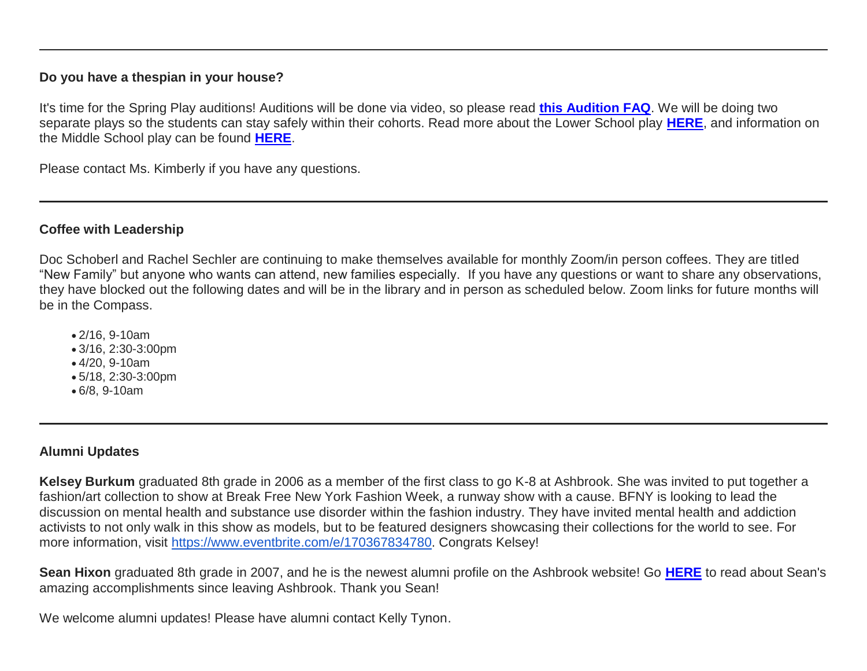## **Do you have a thespian in your house?**

It's time for the Spring Play auditions! Auditions will be done via video, so please read **[this Audition FAQ](http://link.mystudentsprogress.com/ls/click?upn=VpBe6Z9t6RkEC4qAoQCerkRqVNRJCi4SE2bZPjoSvlxLaAy4C8kvUSQGKX5WXVA-2BkD7Xx4JKSlqvpxRwPUcI4jFpcMZ4LalsuDrhBCQS-2FloKmipGCKiwqKAGve0T5Px7TS3pkWo9WScEXcO-2FJmqB-2Fg-3D-3DagLz_1PndbFfBoQGSZbxwXHHEexw3B2F0fG-2BUmuXm6a-2BX-2BzulmAkcYKs87Yy63VhTR9aEp-2FRuvwDA5K5x46CXoL90ya8g7e1gnXQeFk8qK98O1sa1h6wb3G0iKMLoRBciOjdujFc0TJ2QDJhuBx04hM-2BMJd6PfFfyMHFj4aRQ1xuC6vun8SAdGpKvm8cyfHJ1MqdUz5XU8LI4P54oh-2FkOgeWztJJ7noGGozPUjO74-2BTYs54NFGmUmhfRHnSWJ6yLuIzyhxWWClveh3mYBySFHrEEyGgknM2YkuV4r7bmb3aoq8XUmu-2FYRmK72wQ8BxQ85OmcBiXj1faAnjmR-2FGLaZ-2BYV15Wikakwdl9UF8KtBfWJPrUDovlg89-2BRFydZ8J4sqPP9MOcWqa13CYpD4cYfTjj6-2FV6CUzfqeC0yEotpf7IOrhRMqAt8t8-2FV0thk9Yv7teQ8H)**. We will be doing two separate plays so the students can stay safely within their cohorts. Read more about the Lower School play **[HERE](http://link.mystudentsprogress.com/ls/click?upn=VpBe6Z9t6RkEC4qAoQCerkRqVNRJCi4SE2bZPjoSvlxz-2B26uMf0AdZPJXdJMv-2FsPgQUVOBeHlYZHlzB83-2B-2FWbHGydqcQJkUOhJnEoQZON8-2FNyVDJQEN7-2FD-2Fi1aI99xU9IcseNhW1ASL2i1KbVPpcnQ-3D-3Dk09E_1PndbFfBoQGSZbxwXHHEexw3B2F0fG-2BUmuXm6a-2BX-2BzulmAkcYKs87Yy63VhTR9aEp-2FRuvwDA5K5x46CXoL90yWaTo9BqClxamHG3ldEmQvajONm73-2BjRZDdmP-2BxNT1FKRnMVJiUYeM2rrif-2Bh-2BCJpeTbK2Bpjt7biMKgwlo8EtKGc4SHFjbXfJQtSqowjr-2FLrYT7V5qSRPWvsseMNFQfZmvbLh2PsleZfxdAGAaXh19zRKz9ShsYJcnZaVL-2Bq2I-2BgAJVJdgbDOXW3-2BOnPIUgulpii-2FlbyruwwC4CCu0vtlq7hxj3anqGQrWfP7P02kx7j0fQ-2FpZVPgem-2BiKSIvpv8WTOIubwyfPDS5VfzghEpVXbqgCDy6yPr3i7H174ZbP-2FubTJ9acY5kPYTz7nwGTUBdrsWd6CcESiLB-2B-2B5nTlAzdsXp4bI9MkdNJERWX1Wm0V)**, and information on the Middle School play can be found **[HERE](http://link.mystudentsprogress.com/ls/click?upn=VpBe6Z9t6RkEC4qAoQCerkRqVNRJCi4SE2bZPjoSvlxb9jGwyOOQ0riBsjDrfk3vXgA-2FW38xH-2FXIp6N7Hzfqws6Y0EBynW62ZZWoGD8jdNq3FALrdH4-2B1GXnThTc9Gmgj5rFJRBmRD-2B3f0TfQFj-2FfQ-3D-3DoFQV_1PndbFfBoQGSZbxwXHHEexw3B2F0fG-2BUmuXm6a-2BX-2BzulmAkcYKs87Yy63VhTR9aEp-2FRuvwDA5K5x46CXoL90yTOoOJTivPZnZVy9Gzq7aOLXIBDCzdWiL79iZJf2sqdRJVVmeKat-2FtTQUuS2-2FA-2ByH7kNIL70V-2BnyX2RfnhoseLuRcqeOMdgzxgkIdhrrYIGlt1dPTgHCW0Mv8Q71tpr3ll029YoHJmBGw37YMuDzpbjy64ZVQXicVehDRNYLA2sPpPSIfrIYKbRy8bI9j2g0NwHol-2F4upUN4YbPrgccGz1VQ9MM-2F0dS-2FqgymSRdV3ywc7Un7PG6dh2J7D1cDezAJRd-2BbBX-2BIltzs0P0CEownLcnB3tYBmiCXsar7a90-2FR0aFpQdDjdRb9-2BPCshdQhhUy1Y4usBZV-2BOwSZUJ-2BALfwm3tdpzT8-2FnFqvU2MQD6BS9k3)**.

Please contact Ms. Kimberly if you have any questions.

## **Coffee with Leadership**

Doc Schoberl and Rachel Sechler are continuing to make themselves available for monthly Zoom/in person coffees. They are titled "New Family" but anyone who wants can attend, new families especially. If you have any questions or want to share any observations, they have blocked out the following dates and will be in the library and in person as scheduled below. Zoom links for future months will be in the Compass.

- 2/16, 9-10am
- 3/16, 2:30-3:00pm
- 4/20, 9-10am
- 5/18, 2:30-3:00pm
- 6/8, 9-10am

# **Alumni Updates**

**Kelsey Burkum** graduated 8th grade in 2006 as a member of the first class to go K-8 at Ashbrook. She was invited to put together a fashion/art collection to show at Break Free New York Fashion Week, a runway show with a cause. BFNY is looking to lead the discussion on mental health and substance use disorder within the fashion industry. They have invited mental health and addiction activists to not only walk in this show as models, but to be featured designers showcasing their collections for the world to see. For more information, visit [https://www.eventbrite.com/e/170367834780.](http://link.mystudentsprogress.com/ls/click?upn=5XDbAd9r0ovG7GZusFBG8Ihlf7Cl29OR536lydiEAkwSU-2FFPH9BlXWuRuUg-2FXvFDuH-2FpEP3-2Fq-2FnZ9zuC2OTf-2FQ-3D-3DUBvl_1PndbFfBoQGSZbxwXHHEexw3B2F0fG-2BUmuXm6a-2BX-2BzulmAkcYKs87Yy63VhTR9aEp-2FRuvwDA5K5x46CXoL90ya9-2Fc-2FwtLXokzSQeZHGN4S4AFAJfFhpMf7WZw8GjgKCu1iABYpNv20Dd2zj3bvGwykOPg4QgQ4PFsv8FHizbsAalDv-2BZfDxCYaCkipQ5G9Ju5LD2Z-2B6evih4V2HWAnXo-2BrCMygHhch14UvNdmrzZF8mniau4hqiaosFuMmbNWsut4ywdvDx-2FB3qyoKPQPzSeZST09pIroum1TeNt6js4OWQWu-2FqHBakSI4UPsrqDlJ8D5D4dd9XQTmzc9NXbYZm6Obx6Xe7BiVseBzkqFXHzeMJP-2BIqOE4VfuIdkv7N7h7Us755tJEqdWfsni22hy3wSYsmg7aI2kePYiOpZXXetsh2kpfIWUWO4jDeMyUMQXQbc) Congrats Kelsey!

**Sean Hixon** graduated 8th grade in 2007, and he is the newest alumni profile on the Ashbrook website! Go **[HERE](http://link.mystudentsprogress.com/ls/click?upn=5XDbAd9r0ovG7GZusFBG8PaUF78UqItDelTGdwk7Y5YVHPL1lqCP2oHiaZtUu1dlevSR_1PndbFfBoQGSZbxwXHHEexw3B2F0fG-2BUmuXm6a-2BX-2BzulmAkcYKs87Yy63VhTR9aEp-2FRuvwDA5K5x46CXoL90yd2vxVGLtsA-2F-2BnS6P2VvuS1xzQLytX95m8k4LpeyiGSbGzhUl7t3wz4TemtMDcKXi4frwSDqkQHWlllVAK4SHAoF6I9BRCqQhZVY71uoraUeD3-2BBrmPvd54TS1uxppUtur8aSrCMHlDo4gaYMv0yPn2AygeF99Vg650nNzZnQX1zFuDV1QhBRZtSRq4j1s3twrrrpsoGC2mDuaZOSd8XhPg46RNt3BG-2BR8mOwLTTwq2imUVTe5vUf8lMldCLJoopSUBF0BTBl7518V-2Bvddf4i846pd6UNugfVb3mi75E6qe8fV55brYKb4j36pRcnqt0U8BwaBmzLPomOrSqZ-2FX7kfcC-2Fpg9ORQ73huGKQi6nc0I)** to read about Sean's amazing accomplishments since leaving Ashbrook. Thank you Sean!

We welcome alumni updates! Please have alumni contact Kelly Tynon.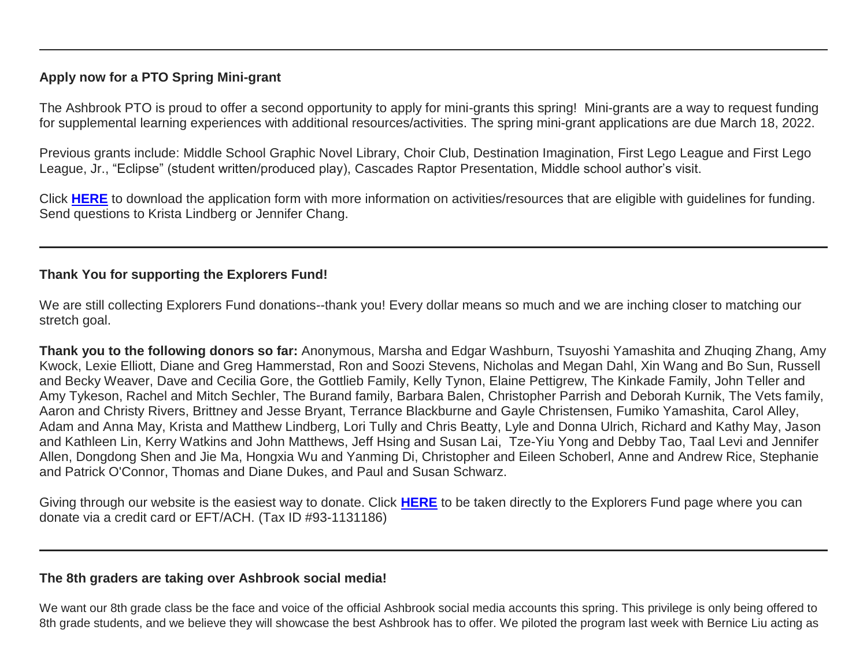## **Apply now for a PTO Spring Mini-grant**

The Ashbrook PTO is proud to offer a second opportunity to apply for mini-grants this spring! Mini-grants are a way to request funding for supplemental learning experiences with additional resources/activities. The spring mini-grant applications are due March 18, 2022.

Previous grants include: Middle School Graphic Novel Library, Choir Club, Destination Imagination, First Lego League and First Lego League, Jr., "Eclipse" (student written/produced play), Cascades Raptor Presentation, Middle school author's visit.

Click **[HERE](http://link.mystudentsprogress.com/ls/click?upn=n7jYKe39nC4PrVAw2BzaOolgU5XUleaJ61qfvNJxTW3uoi8RFzNYUfSc1qXdqajA34djZWrxIBJBxzp2whbybvqIYp3dDOkCDgKesziBdClenDsTc-2FUGtZuJNxIh5RAijA4c-2FxLDZKxjmas3d9mUCg2OGUEiTYCsalquiRQy9vw-3Dn9Wb_1PndbFfBoQGSZbxwXHHEexw3B2F0fG-2BUmuXm6a-2BX-2BzulmAkcYKs87Yy63VhTR9aEp-2FRuvwDA5K5x46CXoL90yXgh1x6kGjg44p5gyviYV-2BasKwD5pFRuM5asxgVPskpjazisjcp5gPeVClirQYkCP9Abqch8WeNggSJF8eZJfxkdsuWmPTkYHA1H0jjihi00hGe7-2B-2FQXBNEGBF4E3osTVZhjhWOaE994IrmtE5PfKs6kTp1THcjEk0DSdw7r0HYwaNFLlRQ4w6pDCQpqrH8K7uS538nbErfJppPICgBfz47eCsyEWfwkwsDAf174Q6vrWs7mTq-2FROQFfoP0lP4AyRjNhSTVUl-2BZj4lK8Zc0klwNRNSg-2B9pKJfNwOvLbd410aTRHl7aFErtFF7pQ-2BxXO3oJaj-2FS9OhdGfTmujClDn9dTNzc56SaO9ZW5Ktm1Ejoim)** to download the application form with more information on activities/resources that are eligible with guidelines for funding. Send questions to Krista Lindberg or Jennifer Chang.

# **Thank You for supporting the Explorers Fund!**

We are still collecting Explorers Fund donations--thank you! Every dollar means so much and we are inching closer to matching our stretch goal.

**Thank you to the following donors so far:** Anonymous, Marsha and Edgar Washburn, Tsuyoshi Yamashita and Zhuqing Zhang, Amy Kwock, Lexie Elliott, Diane and Greg Hammerstad, Ron and Soozi Stevens, Nicholas and Megan Dahl, Xin Wang and Bo Sun, Russell and Becky Weaver, Dave and Cecilia Gore, the Gottlieb Family, Kelly Tynon, Elaine Pettigrew, The Kinkade Family, John Teller and Amy Tykeson, Rachel and Mitch Sechler, The Burand family, Barbara Balen, Christopher Parrish and Deborah Kurnik, The Vets family, Aaron and Christy Rivers, Brittney and Jesse Bryant, Terrance Blackburne and Gayle Christensen, Fumiko Yamashita, Carol Alley, Adam and Anna May, Krista and Matthew Lindberg, Lori Tully and Chris Beatty, Lyle and Donna Ulrich, Richard and Kathy May, Jason and Kathleen Lin, Kerry Watkins and John Matthews, Jeff Hsing and Susan Lai, Tze-Yiu Yong and Debby Tao, Taal Levi and Jennifer Allen, Dongdong Shen and Jie Ma, Hongxia Wu and Yanming Di, Christopher and Eileen Schoberl, Anne and Andrew Rice, Stephanie and Patrick O'Connor, Thomas and Diane Dukes, and Paul and Susan Schwarz.

Giving through our website is the easiest way to donate. Click **[HERE](http://link.mystudentsprogress.com/ls/click?upn=5XDbAd9r0ovG7GZusFBG8PaUF78UqItDelTGdwk7Y5YuTzHCPAjU3puEFCesf3czmLI6pjYvXrYopLnNSPnw-2Fg-3D-3DqGpd_1PndbFfBoQGSZbxwXHHEexw3B2F0fG-2BUmuXm6a-2BX-2BzulmAkcYKs87Yy63VhTR9aEp-2FRuvwDA5K5x46CXoL90yQ2Iddy-2FQCRDpbPQiV7sYNUsZsNHvajlrqMJloBOxqchjaBdE96Sw6hm7c6ouPjFy82V8jEnwM7mvQLdCpRMCsCsx-2F87tLkp1qe1cPTBnOEe7fif5qR8dMQ0OJXN1JkhF-2BiE23PLjI-2BKCo7FmyioDaj28nPug4dJzjDdQrOi284QMpV-2FDv-2F8kbygwHUGwVlIVYlfw09coFRuo9FtC55AexgY3Aj9v4w53aVGxsteEe7NOouM22uHcimbrMOKaosCnZ8PVOgIdwS3vG3VItFC1MA1He02Tpk4wO5xNG1-2BhjFIwFZDmjl-2BLwKXPNEamWEevltHZiXI114SqZNdKotupNFB8-2BoZfOBKcjFEqaZ60P7i)** to be taken directly to the Explorers Fund page where you can donate via a credit card or EFT/ACH. (Tax ID #93-1131186)

## **The 8th graders are taking over Ashbrook social media!**

We want our 8th grade class be the face and voice of the official Ashbrook social media accounts this spring. This privilege is only being offered to 8th grade students, and we believe they will showcase the best Ashbrook has to offer. We piloted the program last week with Bernice Liu acting as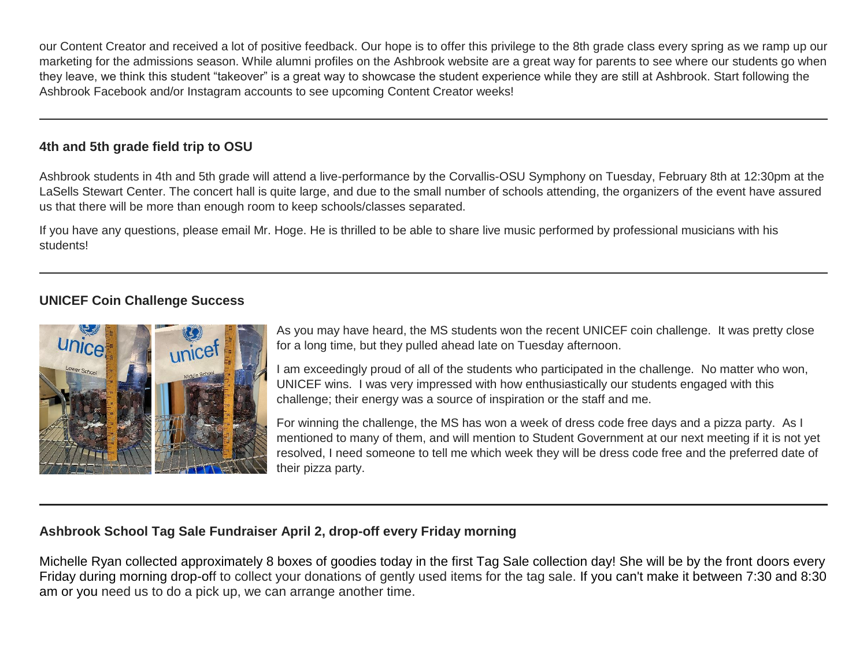our Content Creator and received a lot of positive feedback. Our hope is to offer this privilege to the 8th grade class every spring as we ramp up our marketing for the admissions season. While alumni profiles on the Ashbrook website are a great way for parents to see where our students go when they leave, we think this student "takeover" is a great way to showcase the student experience while they are still at Ashbrook. Start following the Ashbrook Facebook and/or Instagram accounts to see upcoming Content Creator weeks!

## **4th and 5th grade field trip to OSU**

Ashbrook students in 4th and 5th grade will attend a live-performance by the Corvallis-OSU Symphony on Tuesday, February 8th at 12:30pm at the LaSells Stewart Center. The concert hall is quite large, and due to the small number of schools attending, the organizers of the event have assured us that there will be more than enough room to keep schools/classes separated.

If you have any questions, please email Mr. Hoge. He is thrilled to be able to share live music performed by professional musicians with his students!

# **UNICEF Coin Challenge Success**



As you may have heard, the MS students won the recent UNICEF coin challenge. It was pretty close for a long time, but they pulled ahead late on Tuesday afternoon.

I am exceedingly proud of all of the students who participated in the challenge. No matter who won, UNICEF wins. I was very impressed with how enthusiastically our students engaged with this challenge; their energy was a source of inspiration or the staff and me.

For winning the challenge, the MS has won a week of dress code free days and a pizza party. As I mentioned to many of them, and will mention to Student Government at our next meeting if it is not yet resolved, I need someone to tell me which week they will be dress code free and the preferred date of their pizza party.

# **Ashbrook School Tag Sale Fundraiser April 2, drop-off every Friday morning**

Michelle Ryan collected approximately 8 boxes of goodies today in the first Tag Sale collection day! She will be by the front doors every Friday during morning drop-off to collect your donations of gently used items for the tag sale. If you can't make it between 7:30 and 8:30 am or you need us to do a pick up, we can arrange another time.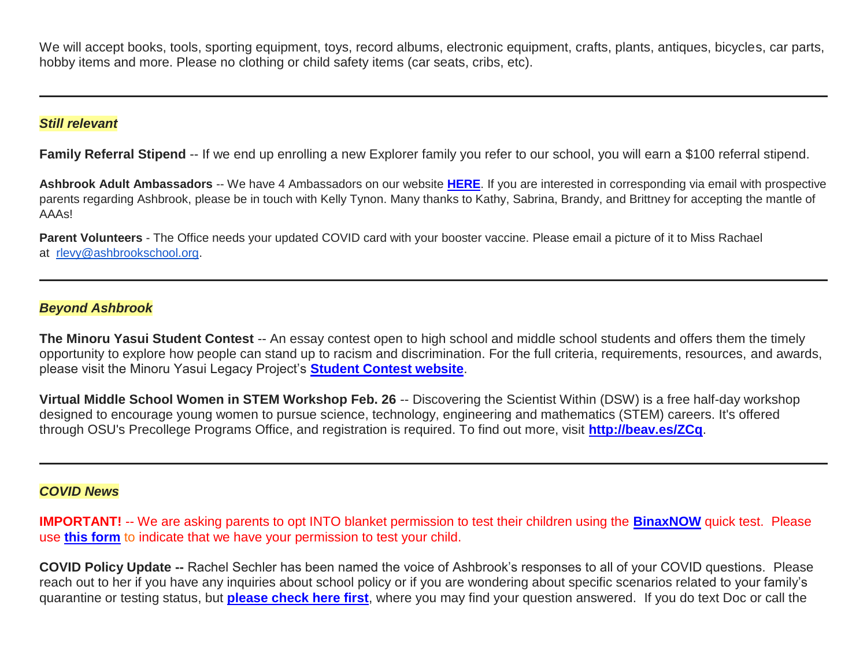We will accept books, tools, sporting equipment, toys, record albums, electronic equipment, crafts, plants, antiques, bicycles, car parts, hobby items and more. Please no clothing or child safety items (car seats, cribs, etc).

#### *Still relevant*

**Family Referral Stipend** -- If we end up enrolling a new Explorer family you refer to our school, you will earn a \$100 referral stipend.

**Ashbrook Adult Ambassadors** -- We have 4 Ambassadors on our website **[HERE](http://link.mystudentsprogress.com/ls/click?upn=5XDbAd9r0ovG7GZusFBG8PaUF78UqItDelTGdwk7Y5avyNmvH-2F-2BAj2asxP-2B-2BAJiKXbDbngZWh42DNvOHgc5oAw-3D-3DDXLS_1PndbFfBoQGSZbxwXHHEexw3B2F0fG-2BUmuXm6a-2BX-2BzulmAkcYKs87Yy63VhTR9aEp-2FRuvwDA5K5x46CXoL90ybAh4dYuBiqwwwm6LSCPe6Xy8if85h9jcDWETVuouOryH3f7SyXyFQ8JNP-2FCQs-2FqBy69n5SNZWhGwCUdBdqkF98AckEroZWlBookkAWwU4-2FVCep2fB63BScud37NX-2FtivJp4LE4-2BBa-2FbPX-2FP4VMbQlPPgmJwRuKqfNzQ2j2wfqjSBwPAcyilTOWPHmNE-2F8ktME6dIk5KUXs2C-2B4AknT0s594HwmF0l6FU3vAbS6BP7YGyjtaKRpiU54UXTrxDR-2BrBqxIw-2Byf-2BMUdEB1dxUMpDW3vr1T3tLbi8WFZyDhDB7XBsJGkP0ck9uFPuJP1vFYACPNE-2B83GOQPCdomrqNRwEbXGoh8Sb24dT1yhqA5VDRM-2F)**. If you are interested in corresponding via email with prospective parents regarding Ashbrook, please be in touch with Kelly Tynon. Many thanks to Kathy, Sabrina, Brandy, and Brittney for accepting the mantle of AAAs!

**Parent Volunteers** - The Office needs your updated COVID card with your booster vaccine. Please email a picture of it to Miss Rachael at [rlevy@ashbrookschool.org.](mailto:rlevy@ashbrookschool.org)

## *Beyond Ashbrook*

**The Minoru Yasui Student Contest** -- An essay contest open to high school and middle school students and offers them the timely opportunity to explore how people can stand up to racism and discrimination. For the full criteria, requirements, resources, and awards, please visit the Minoru Yasui Legacy Project's **[Student Contest website](http://link.mystudentsprogress.com/ls/click?upn=t3AI3kjK1Pyk9qPfHnOahelBVVSIlRAa3GeSLMbkINmgHr3guxrPuqfp-2Bh-2FJW4nCZ4g8Gi3XkGXC-2FKATZbsSvk76vij5gCHstoz-2FhRwWAXGWZxcWnUVjdZxPSMuVO6bvUvuTZ-2BYrxk3JE8TGo9jApLjwgqEQXg60xT679dS392ofbcnkgoXFCJlzd-2Fm-2Bxol3-2BT-2F-2By6Pht-2BH9aeUH2wo8GxNYWOyyqQzNX5Eq2oPgdykDYvJvYK9H0c8Ej0KA5TCRtnynT4Ntj3CtT66vBh7WZarJ-2F7naNHmUHt8ytGvFnvLULRXAoW2Ng8J15QHiM0fpGecBEyFqmxPd1XySMLQjMfZBkvusPg-2FY5n-2FiEdh63p0YOVGHBfObX-2BmZSD7GrUp-2B7sl8HCGwEfCz36UwJZ5sLFw8eQ2W9tb56xE7DqSgQhDZXDK21mZVy-2BKNvsGnYAjkdrME3myDTmwIiYvhynUxQP5S86bMPEVMVsoo7ZfZnLiUUjBalNdoTLVAdhKxLg46VXg7LxlGcTDuWZDADfB2-2Bs09ByGZ5YExFJAdrXkhpjo-3D0zOc_1PndbFfBoQGSZbxwXHHEexw3B2F0fG-2BUmuXm6a-2BX-2BzulmAkcYKs87Yy63VhTR9aEp-2FRuvwDA5K5x46CXoL90yQ5o6l4RqeBr742nXJLdK5D3b-2BkBCYWvJNWjHoqi8qawEhOf4pcB0KC-2BSo51aP4MuUhxI4Rk9t-2FPCZItjVnmZgf5Htmc6rdvrYks-2FW6nriZ1CflDHCRK9HFicVabfRNBb-2BvbcmwwyGH8xUmlCatX9LJR33HEXglG3fcKtpzHBwzfNZqsPvrE7xncJ2jWAmoZSpgxLzU7l1PgWoIGeY32v-2BkzvQDNaehop6e2ik1xkTUP01OcVsZt0XEeSbGSmU-2BYXzWITZQbphP5yt3U88Y-2BK2rZAoyWO0chqyI1d-2FfPFSS-2F73QF9BBprvceDXvNiR9pN5eHDGfytX2Ion3HABm6A0Juf159vzZ4N8SRhCQurgC3)**.

**Virtual Middle School Women in STEM Workshop Feb. 26** -- Discovering the Scientist Within (DSW) is a free half-day workshop designed to encourage young women to pursue science, technology, engineering and mathematics (STEM) careers. It's offered through OSU's Precollege Programs Office, and registration is required. To find out more, visit **[http://beav.es/ZCq](http://link.mystudentsprogress.com/ls/click?upn=bjGxI0kUTWYnhVKIlPu2CrwfiGxf2BdMsi-2BkMhlKDws-3DqJtq_1PndbFfBoQGSZbxwXHHEexw3B2F0fG-2BUmuXm6a-2BX-2BzulmAkcYKs87Yy63VhTR9aEp-2FRuvwDA5K5x46CXoL90yfuoBzoQeSLz2Q1I0WSM1NcNooCxRrZhS-2BHMydjXO293j43IUEP-2BoGTUUj3t2UMfnKlJkEaVmhHLMQmIMP-2F8uVDiSfYZIYnNZvTMlSDSj4nykVt9SMeraE-2BYq8Gqq-2FNmMRRXvM3hu5OjKX4PYxVEwgZNMKEHqS-2FkEstlVD5ZIVuGz4PdNauhCQDF7WdO8zT73R9RCWE-2BhUibJBK7VhSJVm1KBODYaYAwxfsirOD1kvA0W5dTSwBw1vtt3wgahsm4t5Mq-2B8ZcQSEeSjPQB68P6MetZ6vvBaktGqSOJ26zsNxLuUKt8-2FisKMqBG79T8UQJm3HO6hhFIHo2M6xICxIGg3z7-2Fre-2FV86XBoCc7so52pBN)**.

### *COVID News*

**IMPORTANT!** -- We are asking parents to opt INTO blanket permission to test their children using the **[BinaxNOW](http://link.mystudentsprogress.com/ls/click?upn=t3AI3kjK1Pyk9qPfHnOahelBVVSIlRAa3GeSLMbkINmgHr3guxrPuqfp-2Bh-2FJW4nCZ4g8Gi3XkGXC-2FKATZbsSvhVdwYogdxYnUbQxkw8-2FZ9bi3xX-2BUC0Dbk55X4jM3qH1cwN2M5NNsAWKr39XOXRQSgVcpkHUtCXIRi3gyttwJFoch-2FRI8bfbjVpxHq3yLHl2sVL2usUz4-2FwgeDf1uzYDODrHs9GN1ukgk4f6TdcCaz2ok9u9LdEbrtX2brm-2FS-2B7ZTXMx-2FLpC8PYNieXPp4IfokhH364YWIOg88D7vk6lcn97FQvykJQodjbesCKSvtKIG4-2BLpxwuQXw0DKi2Pf-2BMi4-2FfrtWBGphkvjNii3Ty5UP4szjiWq2Aj4556KPJaLHF9EGBz1ZwSQnLdVC2LM9rqhBvfc5pC3Q6a6G64RJPUsHXVVW6wkMuttIYomvxZTOSYmGE83utF55cM3KDIUBq-2BfA3LAo7yoHymWqej9iQtAy6fveKrahxWGGQUV73A-2FJE9a7Ri4wqwhEuwphSc0u84-2BZNnP-2BbLb4gKL7tZ8o0UjjbLvXs9pKM5cOobMLzYhVNpjUet5V8U30KthKIMX-2B2nSzCX7Vr6VotUROMibGf0F75IQ6Ryagj169mfgCh2vQ7zfbQQg5uRhZgWL2RuBN-2BXaZg1rGafTmRlIVkXHMrAjO341k0qJiE-2BCW6D1B-2BgSsZ-2BY8DkerdnSbphFLyMvSpmtlzRbEB0nOuKgqOZ-2B1xOg1mffAfk5Hd8E79UXki24mdNrMhFvrzdFXoPArdmNZZf6YgAl-2FmsacQag9dB68ueZIKPWz-2BHRORUYOY9GreBKdykF3wsq4x5TCdD6r3kFlBKoF5OdDoT8hRC1ktmJFQSwEmKRgDlnTPONM5WxItvRde-2Fcjg-2FhGNbD3mUr6LWu6e8qVjFhkBbzR4INTB-2B-2By4awXd7SV3S-2FlLLOng0q5-2FhXvrTRv07jIC6qQypyF5uCFhv0XWKEqU3f89BOQTfwxfMUBzUlr4-2BOSPGJ9dJDioRAV8683G-2FW7HYuJsrERVFr4nsPFCMs4LuD6zOl6facDKOJpXNcdIm9A3cPe0e54EsG-2BClzpSY0DRAWlu3gZjzfdbn1FKUoiplfW0R-2FfapR5-2BYkd5-2FrHWU4T2ylarZqFVNRb76Mgb49ldhz6fPVXIavCf-2B-2BW691FQflk8ldQFja6k3YoGUv-2BdxDXKOr7YGrn1N4ymjEPYO-2FkFi10cbptrN5B2OPuY2bOTrHJnrUETNRLFF9SgNbHki0UnVcPHOUxxEdK6roZo2BaRXmMnHMAD8ayImopsg19WR-2BhP63Q9vzZADh6LdMrCC0V8PZRlkzGTkccz-2BQm-2B3xzPm4fcLPypRWljo6mKZSDTIq8p-2FIy8w5449NKo1tAoM0Tynu12eyWd2xH4eP690I5-2BNNNhh0v5YeXPVEV0HSf6s64STb-2BRHfxuuQLRWErrBMP04WpOWOeFRGSN1kIruKK9YrxNmeWYLDRHujreqD00kNTPfi6ktJGkt5LHx-2FXykyngc3evSDbd0JY-2FBKpGCzxNgNT-2FmPHOqd7MUYqTAwsiZOifK1itajPRza0nqCDrST5BNXfUvA2t0twClOqxplWlboNl-2BZjw9lG3V6XuCUN6SD3B-2BssM-2ByO81n0aW-2BtY2XmLVS-2BY9U2eW6P-2BX4WiGqfJFBZsGw6MyhI0DDFF7J6RlSnP6Nht76B6bgCc65ZozRdkSbsCYa8KNFnZO-2BbTZqPlItndQ4HDQTAdo6IIOnyISSdwQZ19kwlku26mrq0-2B7f-2BDQCnzT5bhPqkEkIFnLgEcApqb-2BX3F4n2FZ8-2FKPjyaM19kbXM27rhwFfsAyzVQlB-2F0Jm3tuRBm6Psr7LFsT5OktfyiJYYsoGkm)** quick test. Please use **[this form](http://link.mystudentsprogress.com/ls/click?upn=t3AI3kjK1Pyk9qPfHnOahelBVVSIlRAa3GeSLMbkINmgHr3guxrPuqfp-2Bh-2FJW4nCZ4g8Gi3XkGXC-2FKATZbsSvnFgO9IVzNwuZevRFvu2poAlNOSfxWbTJ4wuterP49YQ7uE7NR922xpyPYwNM15j3mPGGx42UIF5UOgp188bdd0-2Bg3fIjfmEVr99BXPR1-2BHxGQ-2BOfhmhBuEl1w0pv5lSzh5456e5biXQCx-2FvU6MxFMVSNup2Ljzy3zTrnhS6dKWL1L9p0TaRMQHWXv8s-2B9M-2FeXmmlPlfgMywPBsHNMFrKccfRVAPaovJUiC4Zv0c9dXRgcs2UHbSrvVW5b0-2Fhp-2BBkSAyXXSIif1JCnb2DenPipYibXz33eGqgS9CPPhR-2F8T6wK2Qwa7BAvxfCSOMehgpc3WHFHg-2FC2PWv9Fl-2Fk-2BQ6TP6csvZUQHN5-2BvqLvPRhPhbxzZcIib2rbchQ7dA1zEJNOHCBSRa8o1hZjKOSNWEvnHsc76Xeb8JmF2xV2o5xbGwnTVA1GJ3DhaE2NbvqmPhkjHuCs2tnnQVgUJy4YT-2F5Bs6r-2Bbk3GTcsermMtuXrpax7Mivwh5WU0ABXiCuiqB-2FmCzAG4dCo5239f51oEuPCe3TV4scob8a2REOZPz23ObalB9v3SvcyNpsdSxlDCAFeg-3D-3DfOhd_1PndbFfBoQGSZbxwXHHEexw3B2F0fG-2BUmuXm6a-2BX-2BzulmAkcYKs87Yy63VhTR9aEp-2FRuvwDA5K5x46CXoL90yZ-2Be5lu95-2FbdFIhrOUXgTs-2Bilw9c4x0akJg2dWMEFyZ8LhocFcc3p0RtddPcHVOI-2FVTcclM2UJyOB6RnTYqMOd-2F6Ed2vsIX1wssHesdVcvabr9DpTj2Ej64mvEywzAsfBuqp3kZJVn8bQmYNyLzL7mwtWwMcvABf2iShSzQL-2F-2B-2BiAjtapro-2BjnQWS6tp98uu-2FIHnSUt481uEd7-2BqW19-2FPO89EsFnR9RzxZ32hGwa1-2FBlJc0ryT19Y-2BzKcTOkQc6VSyHtsgZy8B6ICjqJrU06fWS-2F3vAYlcWYURhmKu8l2-2BhXvl8lzJRZX60OSsGRO5pi1Y-2BJJ1ZCextnHdW8FkWyFHxATtK-2F1siYwfO9Lk2Cxyqz)** to indicate that we have your permission to test your child.

**COVID Policy Update --** Rachel Sechler has been named the voice of Ashbrook's responses to all of your COVID questions. Please reach out to her if you have any inquiries about school policy or if you are wondering about specific scenarios related to your family's quarantine or testing status, but **[please check here first](http://link.mystudentsprogress.com/ls/click?upn=VpBe6Z9t6RkEC4qAoQCerkRqVNRJCi4SE2bZPjoSvlwW2Nl22eidhk9HiEY7w2or0eOY-2FjeAExSGXQCkC2BTCkzAh1fhLPdvUPlki4A0D3zidFub0TviPk5BIPAvscQXSHEP07GEZxTcNBBGwLdgPIjIGuJismpXiqC-2FxqkI9f3m1N2dzRT0HgnQzij6a28L90u1_1PndbFfBoQGSZbxwXHHEexw3B2F0fG-2BUmuXm6a-2BX-2BzulmAkcYKs87Yy63VhTR9aEp-2FRuvwDA5K5x46CXoL90ySqf2qaH7XPH6EUlfjySOYWXVxL7KlZWa3pQEmhz1PQhJGZ1T58wB6uV69IhKShDvea9WYC9fZzFpiwRQ2gtBwiUEmztYpJm3UngvDwPypcOG7BToy9ipWLZf6hvTqVtrJA7LUdI2-2BPW-2BX6k7AbGNYqeiRIWO0MPK1SwEIoxYbh-2FyuhJtJQSexNSj10xDwNqQUoTy29JRpwoQMT0x-2Bc40CRegQ5-2F-2B5YFMuLn424k1WvE6nvnDffa9NItmCmU383LSiTSY9VQ8S1jgYZHN-2FB-2FKpE9KTtdL3TOlwYJ32xpOXm44XJ3bAXJ4UyT-2BjzJ2HanhQpTYlteE4-2BJG0TToz-2FcTaWjiSM4Lk9GQqCnkxZ4hgD1)**, where you may find your question answered. If you do text Doc or call the